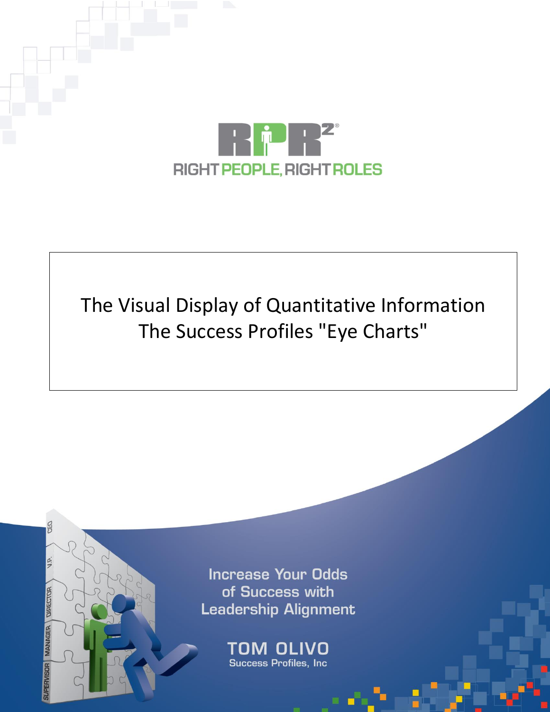

# The Visual Display of Quantitative Information The Success Profiles "Eye Charts"

**Increase Your Odds** of Success with **Leadership Alignment** 

MANAGER DIRECTOR

TOM OLIVO Success Profiles, Inc.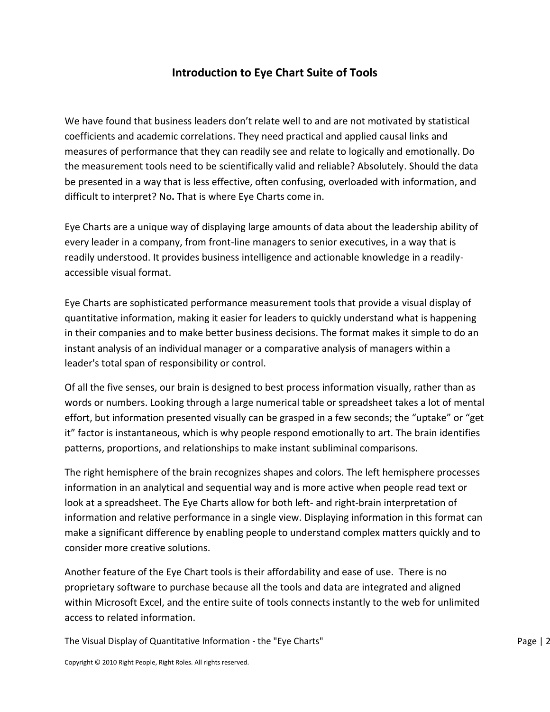## **Introduction to Eye Chart Suite of Tools**

We have found that business leaders don't relate well to and are not motivated by statistical coefficients and academic correlations. They need practical and applied causal links and measures of performance that they can readily see and relate to logically and emotionally. Do the measurement tools need to be scientifically valid and reliable? Absolutely. Should the data be presented in a way that is less effective, often confusing, overloaded with information, and difficult to interpret? No**.** That is where Eye Charts come in.

Eye Charts are a unique way of displaying large amounts of data about the leadership ability of every leader in a company, from front-line managers to senior executives, in a way that is readily understood. It provides business intelligence and actionable knowledge in a readilyaccessible visual format.

Eye Charts are sophisticated performance measurement tools that provide a visual display of quantitative information, making it easier for leaders to quickly understand what is happening in their companies and to make better business decisions. The format makes it simple to do an instant analysis of an individual manager or a comparative analysis of managers within a leader's total span of responsibility or control.

Of all the five senses, our brain is designed to best process information visually, rather than as words or numbers. Looking through a large numerical table or spreadsheet takes a lot of mental effort, but information presented visually can be grasped in a few seconds; the "uptake" or "get it" factor is instantaneous, which is why people respond emotionally to art. The brain identifies patterns, proportions, and relationships to make instant subliminal comparisons.

The right hemisphere of the brain recognizes shapes and colors. The left hemisphere processes information in an analytical and sequential way and is more active when people read text or look at a spreadsheet. The Eye Charts allow for both left- and right-brain interpretation of information and relative performance in a single view. Displaying information in this format can make a significant difference by enabling people to understand complex matters quickly and to consider more creative solutions.

Another feature of the Eye Chart tools is their affordability and ease of use. There is no proprietary software to purchase because all the tools and data are integrated and aligned within Microsoft Excel, and the entire suite of tools connects instantly to the web for unlimited access to related information.

The Visual Display of Quantitative Information - the "Eye Charts" The Visual Page | 2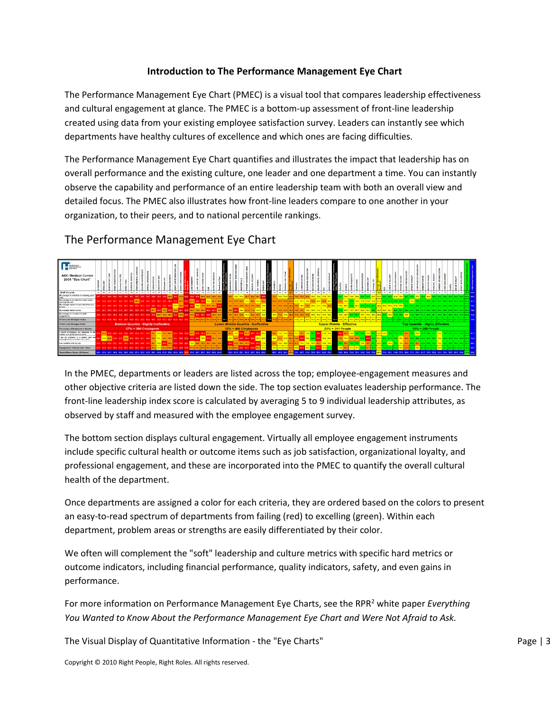## **Introduction to The Performance Management Eye Chart**

The Performance Management Eye Chart (PMEC) is a visual tool that compares leadership effectiveness and cultural engagement at glance. The PMEC is a bottom-up assessment of front-line leadership created using data from your existing employee satisfaction survey. Leaders can instantly see which departments have healthy cultures of excellence and which ones are facing difficulties.

The Performance Management Eye Chart quantifies and illustrates the impact that leadership has on overall performance and the existing culture, one leader and one department a time. You can instantly observe the capability and performance of an entire leadership team with both an overall view and detailed focus. The PMEC also illustrates how front-line leaders compare to one another in your organization, to their peers, and to national percentile rankings.



## The Performance Management Eye Chart

In the PMEC, departments or leaders are listed across the top; employee-engagement measures and other objective criteria are listed down the side. The top section evaluates leadership performance. The front-line leadership index score is calculated by averaging 5 to 9 individual leadership attributes, as observed by staff and measured with the employee engagement survey.

The bottom section displays cultural engagement. Virtually all employee engagement instruments include specific cultural health or outcome items such as job satisfaction, organizational loyalty, and professional engagement, and these are incorporated into the PMEC to quantify the overall cultural health of the department.

Once departments are assigned a color for each criteria, they are ordered based on the colors to present an easy-to-read spectrum of departments from failing (red) to excelling (green). Within each department, problem areas or strengths are easily differentiated by their color.

We often will complement the "soft" leadership and culture metrics with specific hard metrics or outcome indicators, including financial performance, quality indicators, safety, and even gains in performance.

For more information on Performance Management Eye Charts, see the RPR<sup>2</sup> white paper *Everything You Wanted to Know About the Performance Management Eye Chart and Were Not Afraid to Ask.*

The Visual Display of Quantitative Information - the "Eye Charts" National Page | 3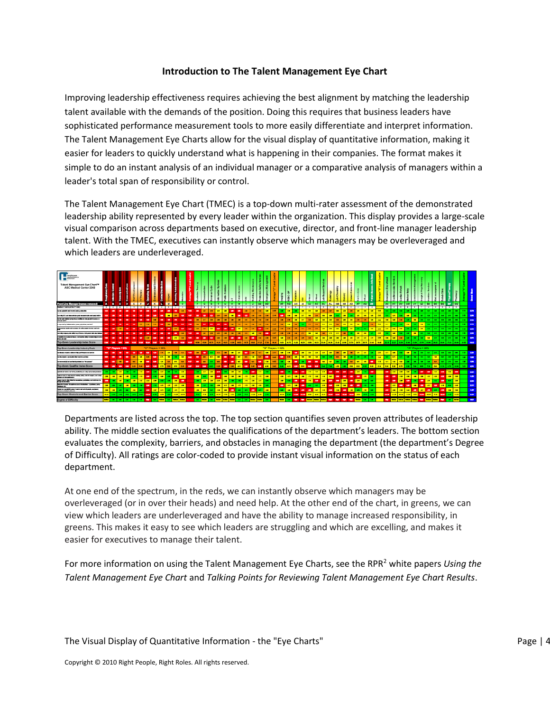## **Introduction to The Talent Management Eye Chart**

Improving leadership effectiveness requires achieving the best alignment by matching the leadership talent available with the demands of the position. Doing this requires that business leaders have sophisticated performance measurement tools to more easily differentiate and interpret information. The Talent Management Eye Charts allow for the visual display of quantitative information, making it easier for leaders to quickly understand what is happening in their companies. The format makes it simple to do an instant analysis of an individual manager or a comparative analysis of managers within a leader's total span of responsibility or control.

The Talent Management Eye Chart (TMEC) is a top-down multi-rater assessment of the demonstrated leadership ability represented by every leader within the organization. This display provides a large-scale visual comparison across departments based on executive, director, and front-line manager leadership talent. With the TMEC, executives can instantly observe which managers may be overleveraged and which leaders are underleveraged.



Departments are listed across the top. The top section quantifies seven proven attributes of leadership ability. The middle section evaluates the qualifications of the department's leaders. The bottom section evaluates the complexity, barriers, and obstacles in managing the department (the department's Degree of Difficulty). All ratings are color-coded to provide instant visual information on the status of each department.

At one end of the spectrum, in the reds, we can instantly observe which managers may be overleveraged (or in over their heads) and need help. At the other end of the chart, in greens, we can view which leaders are underleveraged and have the ability to manage increased responsibility, in greens. This makes it easy to see which leaders are struggling and which are excelling, and makes it easier for executives to manage their talent.

For more information on using the Talent Management Eye Charts, see the RPR<sup>2</sup> white papers *Using the Talent Management Eye Chart* and *Talking Points for Reviewing Talent Management Eye Chart Results*.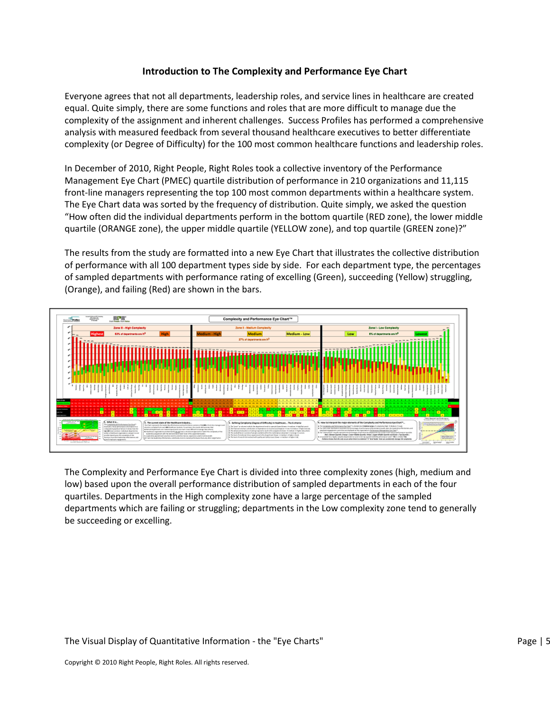#### **Introduction to The Complexity and Performance Eye Chart**

Everyone agrees that not all departments, leadership roles, and service lines in healthcare are created equal. Quite simply, there are some functions and roles that are more difficult to manage due the complexity of the assignment and inherent challenges. Success Profiles has performed a comprehensive analysis with measured feedback from several thousand healthcare executives to better differentiate complexity (or Degree of Difficulty) for the 100 most common healthcare functions and leadership roles.

In December of 2010, Right People, Right Roles took a collective inventory of the Performance Management Eye Chart (PMEC) quartile distribution of performance in 210 organizations and 11,115 front-line managers representing the top 100 most common departments within a healthcare system. The Eye Chart data was sorted by the frequency of distribution. Quite simply, we asked the question "How often did the individual departments perform in the bottom quartile (RED zone), the lower middle quartile (ORANGE zone), the upper middle quartile (YELLOW zone), and top quartile (GREEN zone)?"

The results from the study are formatted into a new Eye Chart that illustrates the collective distribution of performance with all 100 department types side by side. For each department type, the percentages of sampled departments with performance rating of excelling (Green), succeeding (Yellow) struggling, (Orange), and failing (Red) are shown in the bars.



The Complexity and Performance Eye Chart is divided into three complexity zones (high, medium and low) based upon the overall performance distribution of sampled departments in each of the four quartiles. Departments in the High complexity zone have a large percentage of the sampled departments which are failing or struggling; departments in the Low complexity zone tend to generally be succeeding or excelling.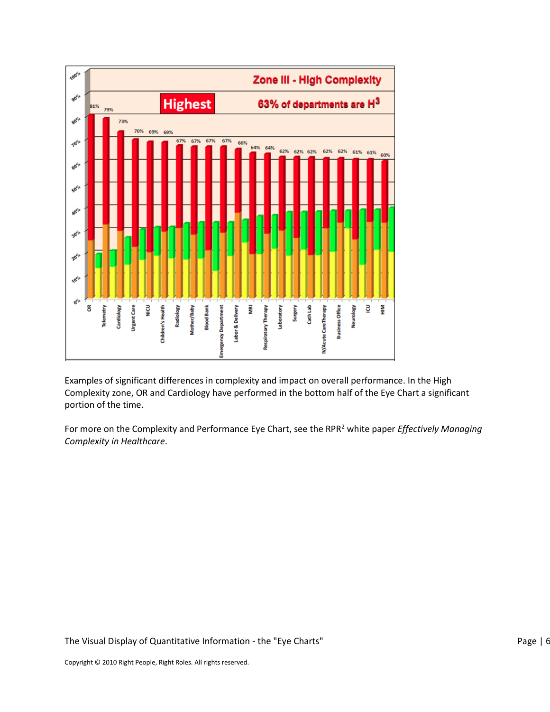

Examples of significant differences in complexity and impact on overall performance. In the High Complexity zone, OR and Cardiology have performed in the bottom half of the Eye Chart a significant portion of the time.

For more on the Complexity and Performance Eye Chart, see the RPR<sup>2</sup> white paper *Effectively Managing Complexity in Healthcare*.